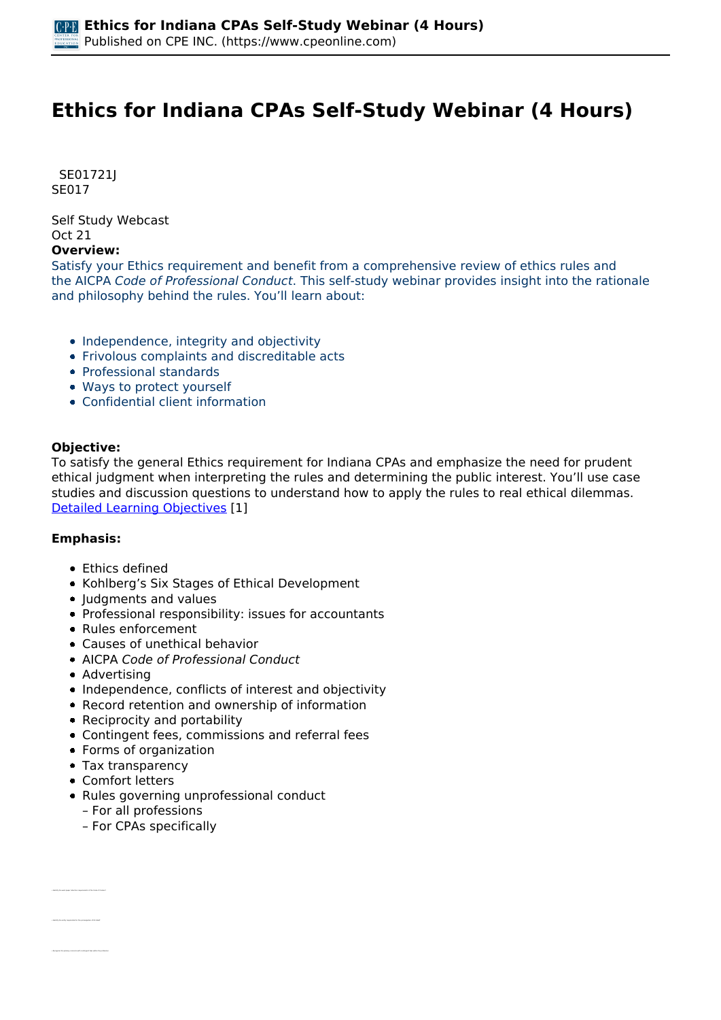# **Ethics for Indiana CPAs Self-Study Webinar (4 Hours)**

 *SE01721J SE017* 

*Self Study Webcast Oct 21* 

#### **Overview:**

*Satisfy your Ethics requirement and benefit from a comprehensive review of ethics rules and the AICPA Code of Professional Conduct. This self-study webinar provides insight into the rationale and philosophy behind the rules. You'll learn about:*

- *Independence, integrity and objectivity*
- *Frivolous complaints and discreditable acts*
- *Professional standards*
- *Ways to protect yourself*
- *Confidential client information*

### **Objective:**

*To satisfy the general Ethics requirement for Indiana CPAs and emphasize the need for prudent ethical judgment when interpreting the rules and determining the public interest. You'll use case studies and discussion questions to understand how to apply the rules to real ethical dilemmas. [Detailed Learning Objectives](https://www.cpeonline.com/JavaScript:showObjectivesPopup();) [1]*

### **Emphasis:**

- *Ethics defined*
- *Kohlberg's Six Stages of Ethical Development*
- *Judgments and values*
- *Professional responsibility: issues for accountants*
- *Rules enforcement*
- *Causes of unethical behavior*
- *AICPA Code of Professional Conduct*
- *Advertising*
- *Independence, conflicts of interest and objectivity*
- *Record retention and ownership of information*
- *Reciprocity and portability*
- *Contingent fees, commissions and referral fees*
- *Forms of organization*
- *Tax transparency*
- *Comfort letters*

*• Identify the work paper retention requirements of the Code of Conduct*

- *Rules governing unprofessional conduct*
	- *For all professions*
	- *For CPAs specifically*